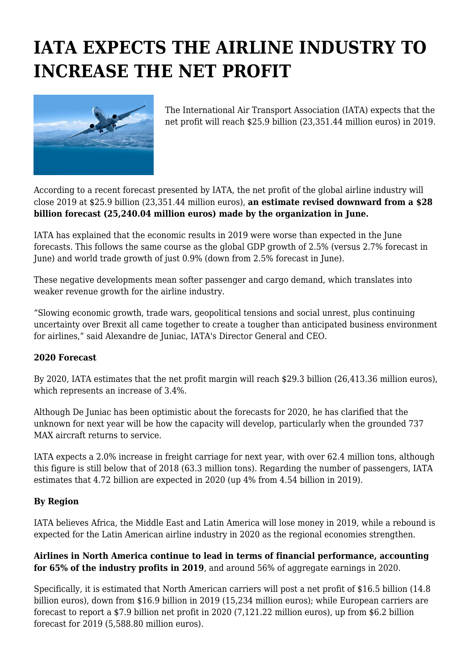## **IATA EXPECTS THE AIRLINE INDUSTRY TO INCREASE THE NET PROFIT**



The International Air Transport Association (IATA) expects that the net profit will reach \$25.9 billion (23,351.44 million euros) in 2019.

According to a recent forecast presented by IATA, the net profit of the global airline industry will close 2019 at \$25.9 billion (23,351.44 million euros), **an estimate revised downward from a \$28 billion forecast (25,240.04 million euros) made by the organization in June.**

IATA has explained that the economic results in 2019 were worse than expected in the June forecasts. This follows the same course as the global GDP growth of 2.5% (versus 2.7% forecast in June) and world trade growth of just 0.9% (down from 2.5% forecast in June).

These negative developments mean softer passenger and cargo demand, which translates into weaker revenue growth for the airline industry.

"Slowing economic growth, trade wars, geopolitical tensions and social unrest, plus continuing uncertainty over Brexit all came together to create a tougher than anticipated business environment for airlines," said Alexandre de Juniac, IATA's Director General and CEO.

## **2020 Forecast**

By 2020, IATA estimates that the net profit margin will reach \$29.3 billion (26,413.36 million euros), which represents an increase of 3.4%.

Although De Juniac has been optimistic about the forecasts for 2020, he has clarified that the unknown for next year will be how the capacity will develop, particularly when the grounded 737 MAX aircraft returns to service.

IATA expects a 2.0% increase in freight carriage for next year, with over 62.4 million tons, although this figure is still below that of 2018 (63.3 million tons). Regarding the number of passengers, IATA estimates that 4.72 billion are expected in 2020 (up 4% from 4.54 billion in 2019).

## **By Region**

IATA believes Africa, the Middle East and Latin America will lose money in 2019, while a rebound is expected for the Latin American airline industry in 2020 as the regional economies strengthen.

## **Airlines in North America continue to lead in terms of financial performance, accounting for 65% of the industry profits in 2019**, and around 56% of aggregate earnings in 2020.

Specifically, it is estimated that North American carriers will post a net profit of \$16.5 billion (14.8 billion euros), down from \$16.9 billion in 2019 (15,234 million euros); while European carriers are forecast to report a \$7.9 billion net profit in 2020 (7,121.22 million euros), up from \$6.2 billion forecast for 2019 (5,588.80 million euros).